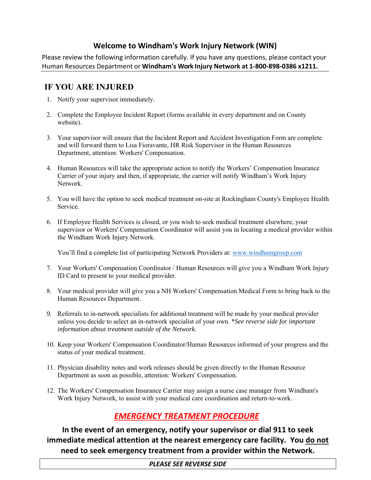# **Welcome to Windham's Work Injury Network (WIN)**

Please review the following information carefully. If you have any questions, please contact your Human Resources Department or **Windham's Work Injury Network at 1‐800‐898‐0386 x1211.**

# **IF YOU ARE INJURED**

- 1. Notify your supervisor immediately.
- 2. Complete the Employee Incident Report (forms available in every department and on County website).
- 3. Your supervisor will ensure that the Incident Report and Accident Investigation Form are complete and will forward them to Lisa Fioravante, HR Risk Supervisor in the Human Resources Department, attention: Workers' Compensation.
- 4. Human Resources will take the appropriate action to notify the Workers' Compensation Insurance Carrier of your injury and then, if appropriate, the carrier will notify Windham's Work Injury Network.
- 5. You will have the option to seek medical treatment on-site at Rockingham County's Employee Health Service.
- 6. If Employee Health Services is closed, or you wish to seek medical treatment elsewhere, your supervisor or Workers' Compensation Coordinator will assist you in locating a medical provider within the Windham Work Injury Network.

You'll find a complete list of participating Network Providers at: www.windhamgroup.com

- 7. Your Workers' Compensation Coordinator / Human Resources will give you a Windham Work Injury ID Card to present to your medical provider.
- 8. Your medical provider will give you a NH Workers' Compensation Medical Form to bring back to the Human Resources Department.
- *9.* Referrals to in-network specialists for additional treatment will be made by your medical provider unless you decide to select an in-network specialist of your own. \**See reverse side for important information about treatment outside of the Network.*
- 10. Keep your Workers' Compensation Coordinator/Human Resources informed of your progress and the status of your medical treatment.
- 11. Physician disability notes and work releases should be given directly to the Human Resource Department as soon as possible, attention: Workers' Compensation.
- 12. The Workers' Compensation Insurance Carrier may assign a nurse case manager from Windham's Work Injury Network, to assist with your medical care coordination and return-to-work.

# *EMERGENCY TREATMENT PROCEDURE*

**In the event of an emergency, notify your supervisor or dial 911 to seek immediate medical attention at the nearest emergency care facility. You do not need to seek emergency treatment from a provider within the Network.** 

# *PLEASE SEE REVERSE SIDE*